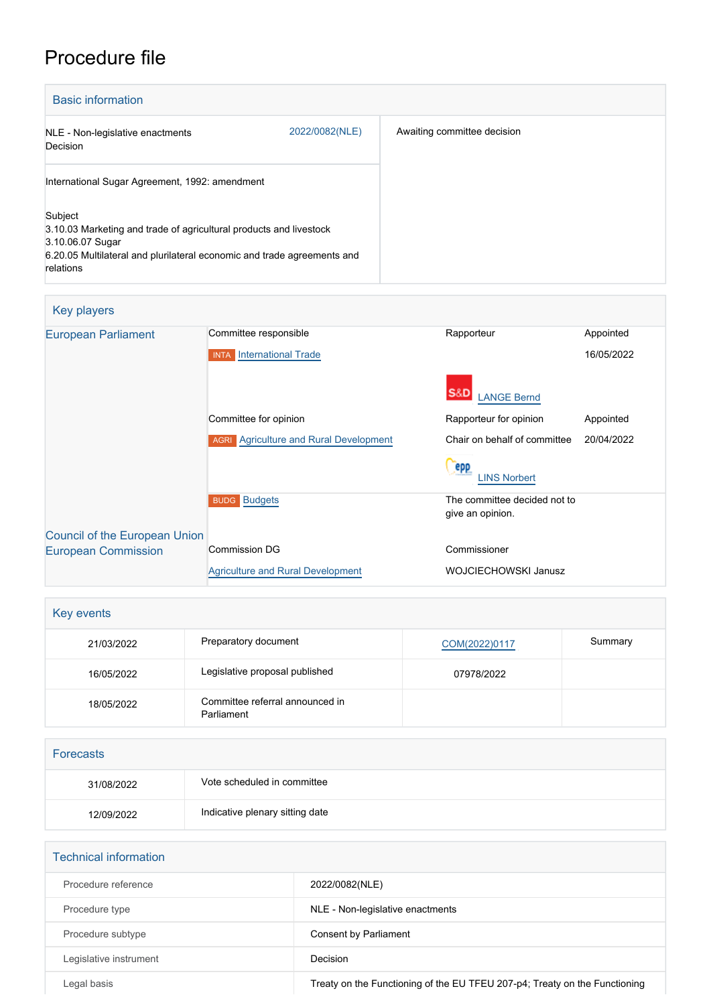## Procedure file

| <b>Basic information</b>                                                                                                                                                                  |                |                             |
|-------------------------------------------------------------------------------------------------------------------------------------------------------------------------------------------|----------------|-----------------------------|
| NLE - Non-legislative enactments<br>Decision                                                                                                                                              | 2022/0082(NLE) | Awaiting committee decision |
| International Sugar Agreement, 1992: amendment                                                                                                                                            |                |                             |
| Subject<br>3.10.03 Marketing and trade of agricultural products and livestock<br>3.10.06.07 Sugar<br>6.20.05 Multilateral and plurilateral economic and trade agreements and<br>relations |                |                             |

| Key players                   |                                               |                                                  |            |
|-------------------------------|-----------------------------------------------|--------------------------------------------------|------------|
| <b>European Parliament</b>    | Committee responsible                         | Rapporteur                                       | Appointed  |
|                               | <b>INTA</b> International Trade               |                                                  | 16/05/2022 |
|                               |                                               | S&D<br><b>ANGE Bernd</b>                         |            |
|                               | Committee for opinion                         | Rapporteur for opinion                           | Appointed  |
|                               | <b>AGRI</b> Agriculture and Rural Development | Chair on behalf of committee                     | 20/04/2022 |
|                               |                                               | epp<br><b>LINS Norbert</b>                       |            |
|                               | <b>BUDG Budgets</b>                           | The committee decided not to<br>give an opinion. |            |
| Council of the European Union |                                               |                                                  |            |
| <b>European Commission</b>    | <b>Commission DG</b>                          | Commissioner                                     |            |
|                               | <b>Agriculture and Rural Development</b>      | <b>WOJCIECHOWSKI Janusz</b>                      |            |

| Key events |                                               |               |         |
|------------|-----------------------------------------------|---------------|---------|
| 21/03/2022 | Preparatory document                          | COM(2022)0117 | Summary |
| 16/05/2022 | Legislative proposal published                | 07978/2022    |         |
| 18/05/2022 | Committee referral announced in<br>Parliament |               |         |

| <b>Forecasts</b> |                                 |
|------------------|---------------------------------|
| 31/08/2022       | Vote scheduled in committee     |
| 12/09/2022       | Indicative plenary sitting date |

| <b>Technical information</b> |                                                                            |
|------------------------------|----------------------------------------------------------------------------|
| Procedure reference          | 2022/0082(NLE)                                                             |
| Procedure type               | NLE - Non-legislative enactments                                           |
| Procedure subtype            | Consent by Parliament                                                      |
| Legislative instrument       | Decision                                                                   |
| Legal basis                  | Treaty on the Functioning of the EU TFEU 207-p4; Treaty on the Functioning |